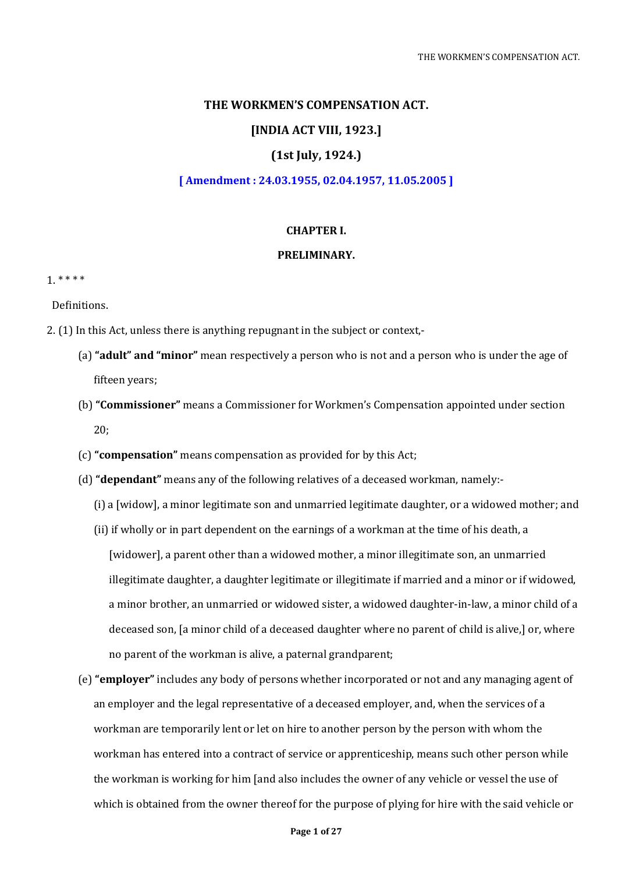### **THE WORKMEN'S COMPENSATION ACT.**

### **[INDIA ACT VIII, 1923.]**

### **(1st July, 1924.)**

### **[ Amendment : 24.03.1955, 02.04.1957, 11.05.2005 ]**

#### **CHAPTER I.**

## **PRELIMINARY.**

1. \* \* \* \*

Definitions.

- 2. (1) In this Act, unless there is anything repugnant in the subject or context,-
	- (a) **"adult" and "minor"** mean respectively a person who is not and a person who is under the age of fifteen years;
	- (b) **"Commissioner"** means a Commissioner for Workmen's Compensation appointed under section 20;
	- (c) **"compensation"** means compensation as provided for by this Act;
	- (d) **"dependant"** means any of the following relatives of a deceased workman, namely:-
		- (i) a [widow], a minor legitimate son and unmarried legitimate daughter, or a widowed mother; and
		- (ii) if wholly or in part dependent on the earnings of a workman at the time of his death, a [widower], a parent other than a widowed mother, a minor illegitimate son, an unmarried illegitimate daughter, a daughter legitimate or illegitimate if married and a minor or if widowed, a minor brother, an unmarried or widowed sister, a widowed daughter-in-law, a minor child of a deceased son, [a minor child of a deceased daughter where no parent of child is alive,] or, where no parent of the workman is alive, a paternal grandparent;
	- (e) **"employer"** includes any body of persons whether incorporated or not and any managing agent of an employer and the legal representative of a deceased employer, and, when the services of a workman are temporarily lent or let on hire to another person by the person with whom the workman has entered into a contract of service or apprenticeship, means such other person while the workman is working for him [and also includes the owner of any vehicle or vessel the use of which is obtained from the owner thereof for the purpose of plying for hire with the said vehicle or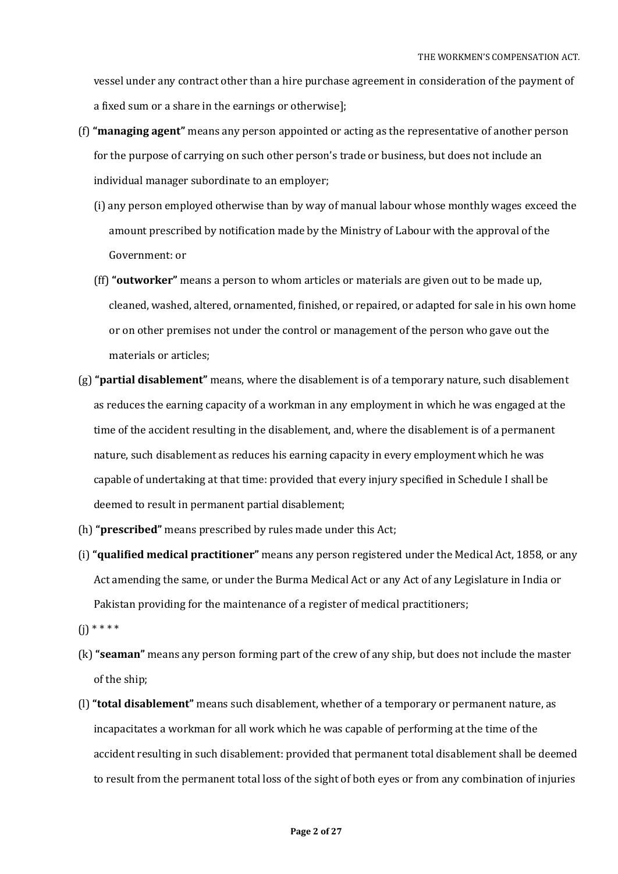vessel under any contract other than a hire purchase agreement in consideration of the payment of a fixed sum or a share in the earnings or otherwise];

- (f) **"managing agent"** means any person appointed or acting as the representative of another person for the purpose of carrying on such other person's trade or business, but does not include an individual manager subordinate to an employer;
	- (i) any person employed otherwise than by way of manual labour whose monthly wages exceed the amount prescribed by notification made by the Ministry of Labour with the approval of the Government: or
	- (ff) **"outworker"** means a person to whom articles or materials are given out to be made up, cleaned, washed, altered, ornamented, finished, or repaired, or adapted for sale in his own home or on other premises not under the control or management of the person who gave out the materials or articles;
- (g) **"partial disablement"** means, where the disablement is of a temporary nature, such disablement as reduces the earning capacity of a workman in any employment in which he was engaged at the time of the accident resulting in the disablement, and, where the disablement is of a permanent nature, such disablement as reduces his earning capacity in every employment which he was capable of undertaking at that time: provided that every injury specified in Schedule I shall be deemed to result in permanent partial disablement;
- (h) **"prescribed"** means prescribed by rules made under this Act;
- (i) **"qualified medical practitioner"** means any person registered under the Medical Act, 1858, or any Act amending the same, or under the Burma Medical Act or any Act of any Legislature in India or Pakistan providing for the maintenance of a register of medical practitioners;
- $(i)$  \* \* \* \*
- (k) **"seaman"** means any person forming part of the crew of any ship, but does not include the master of the ship;
- (l) **"total disablement"** means such disablement, whether of a temporary or permanent nature, as incapacitates a workman for all work which he was capable of performing at the time of the accident resulting in such disablement: provided that permanent total disablement shall be deemed to result from the permanent total loss of the sight of both eyes or from any combination of injuries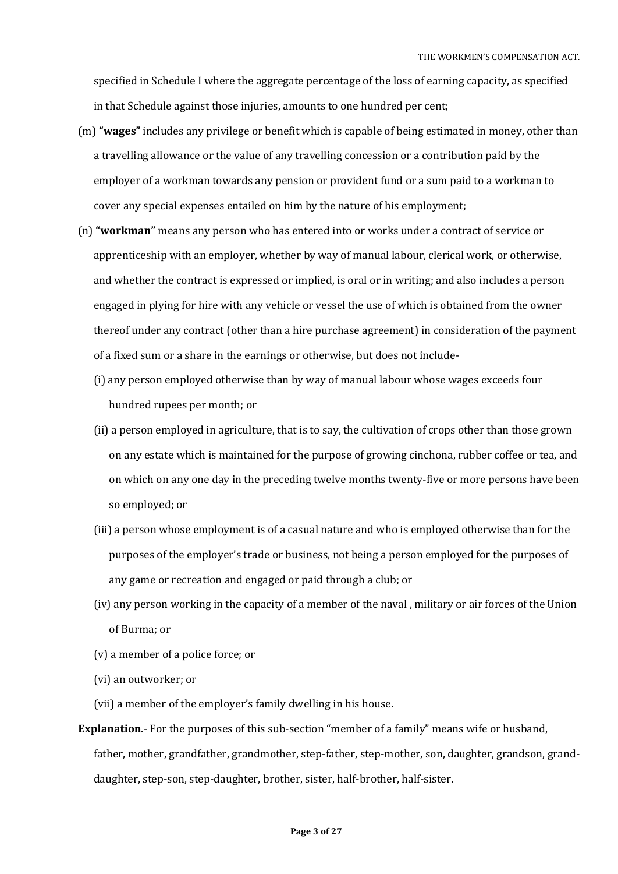specified in Schedule I where the aggregate percentage of the loss of earning capacity, as specified in that Schedule against those injuries, amounts to one hundred per cent;

- (m) **"wages"** includes any privilege or benefit which is capable of being estimated in money, other than a travelling allowance or the value of any travelling concession or a contribution paid by the employer of a workman towards any pension or provident fund or a sum paid to a workman to cover any special expenses entailed on him by the nature of his employment;
- (n) **"workman"** means any person who has entered into or works under a contract of service or apprenticeship with an employer, whether by way of manual labour, clerical work, or otherwise, and whether the contract is expressed or implied, is oral or in writing; and also includes a person engaged in plying for hire with any vehicle or vessel the use of which is obtained from the owner thereof under any contract (other than a hire purchase agreement) in consideration of the payment of a fixed sum or a share in the earnings or otherwise, but does not include-
	- (i) any person employed otherwise than by way of manual labour whose wages exceeds four hundred rupees per month; or
	- (ii) a person employed in agriculture, that is to say, the cultivation of crops other than those grown on any estate which is maintained for the purpose of growing cinchona, rubber coffee or tea, and on which on any one day in the preceding twelve months twenty-five or more persons have been so employed; or
	- (iii) a person whose employment is of a casual nature and who is employed otherwise than for the purposes of the employer's trade or business, not being a person employed for the purposes of any game or recreation and engaged or paid through a club; or
	- (iv) any person working in the capacity of a member of the naval , military or air forces of the Union of Burma; or
	- (v) a member of a police force; or
	- (vi) an outworker; or
	- (vii) a member of the employer's family dwelling in his house.
- **Explanation**.- For the purposes of this sub-section "member of a family" means wife or husband, father, mother, grandfather, grandmother, step-father, step-mother, son, daughter, grandson, granddaughter, step-son, step-daughter, brother, sister, half-brother, half-sister.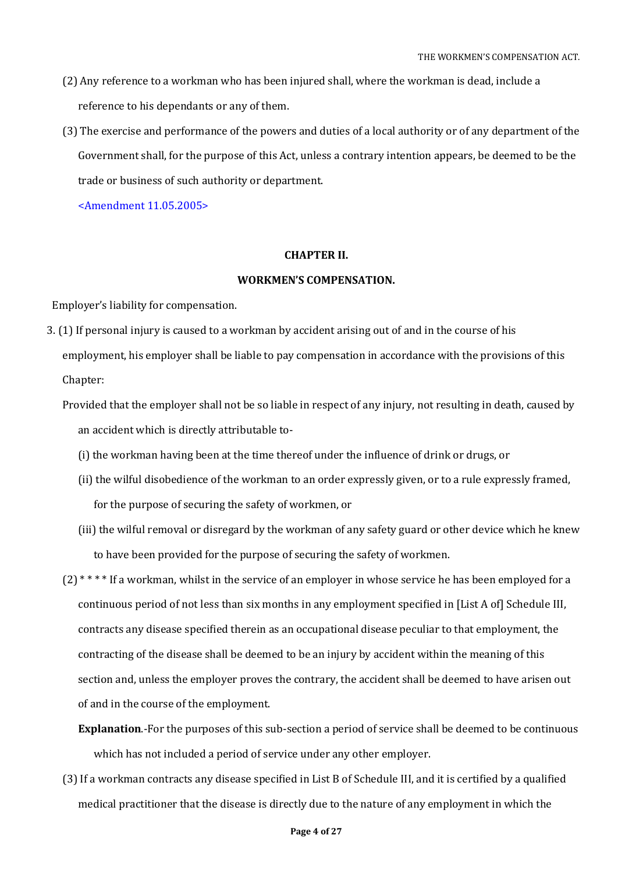- (2) Any reference to a workman who has been injured shall, where the workman is dead, include a reference to his dependants or any of them.
- (3) The exercise and performance of the powers and duties of a local authority or of any department of the Government shall, for the purpose of this Act, unless a contrary intention appears, be deemed to be the trade or business of such authority or department.

<Amendment 11.05.2005>

### **CHAPTER II.**

### **WORKMEN'S COMPENSATION.**

Employer's liability for compensation.

- 3. (1) If personal injury is caused to a workman by accident arising out of and in the course of his employment, his employer shall be liable to pay compensation in accordance with the provisions of this Chapter:
	- Provided that the employer shall not be so liable in respect of any injury, not resulting in death, caused by an accident which is directly attributable to-
		- (i) the workman having been at the time thereof under the influence of drink or drugs, or
		- (ii) the wilful disobedience of the workman to an order expressly given, or to a rule expressly framed, for the purpose of securing the safety of workmen, or
		- (iii) the wilful removal or disregard by the workman of any safety guard or other device which he knew to have been provided for the purpose of securing the safety of workmen.
	- $(2)$ <sup>\*\*\*\*</sup> If a workman, whilst in the service of an employer in whose service he has been employed for a continuous period of not less than six months in any employment specified in [List A of] Schedule III, contracts any disease specified therein as an occupational disease peculiar to that employment, the contracting of the disease shall be deemed to be an injury by accident within the meaning of this section and, unless the employer proves the contrary, the accident shall be deemed to have arisen out of and in the course of the employment.
		- **Explanation**.-For the purposes of this sub-section a period of service shall be deemed to be continuous which has not included a period of service under any other employer.
	- (3) If a workman contracts any disease specified in List B of Schedule III, and it is certified by a qualified medical practitioner that the disease is directly due to the nature of any employment in which the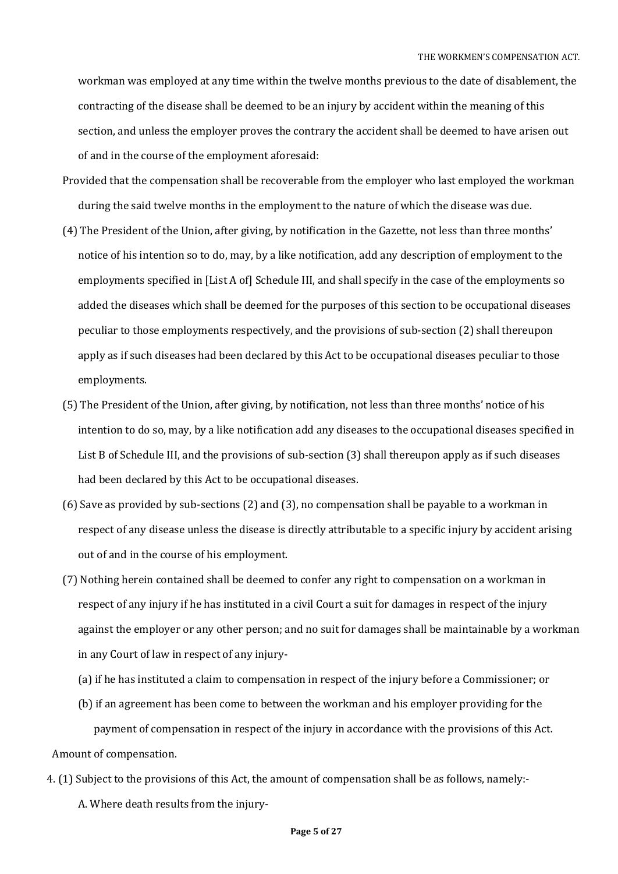workman was employed at any time within the twelve months previous to the date of disablement, the contracting of the disease shall be deemed to be an injury by accident within the meaning of this section, and unless the employer proves the contrary the accident shall be deemed to have arisen out of and in the course of the employment aforesaid:

- Provided that the compensation shall be recoverable from the employer who last employed the workman during the said twelve months in the employment to the nature of which the disease was due.
- (4) The President of the Union, after giving, by notification in the Gazette, not less than three months' notice of his intention so to do, may, by a like notification, add any description of employment to the employments specified in [List A of] Schedule III, and shall specify in the case of the employments so added the diseases which shall be deemed for the purposes of this section to be occupational diseases peculiar to those employments respectively, and the provisions of sub-section (2) shall thereupon apply as if such diseases had been declared by this Act to be occupational diseases peculiar to those employments.
- (5) The President of the Union, after giving, by notification, not less than three months' notice of his intention to do so, may, by a like notification add any diseases to the occupational diseases specified in List B of Schedule III, and the provisions of sub-section (3) shall thereupon apply as if such diseases had been declared by this Act to be occupational diseases.
- (6) Save as provided by sub-sections (2) and (3), no compensation shall be payable to a workman in respect of any disease unless the disease is directly attributable to a specific injury by accident arising out of and in the course of his employment.
- (7) Nothing herein contained shall be deemed to confer any right to compensation on a workman in respect of any injury if he has instituted in a civil Court a suit for damages in respect of the injury against the employer or any other person; and no suit for damages shall be maintainable by a workman in any Court of law in respect of any injury-
	- (a) if he has instituted a claim to compensation in respect of the injury before a Commissioner; or
	- (b) if an agreement has been come to between the workman and his employer providing for the payment of compensation in respect of the injury in accordance with the provisions of this Act.

Amount of compensation.

4. (1) Subject to the provisions of this Act, the amount of compensation shall be as follows, namely:- A. Where death results from the injury-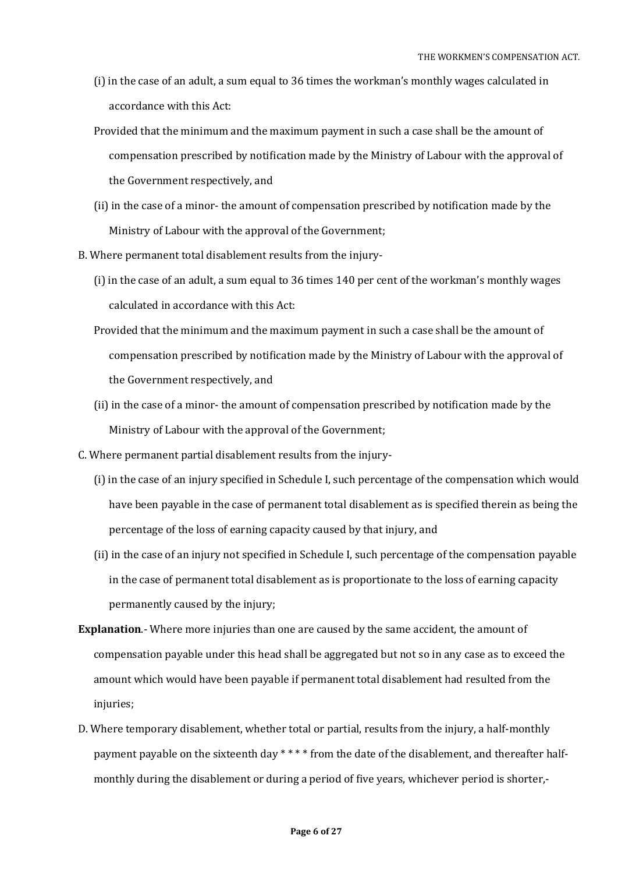- (i) in the case of an adult, a sum equal to 36 times the workman's monthly wages calculated in accordance with this Act:
- Provided that the minimum and the maximum payment in such a case shall be the amount of compensation prescribed by notification made by the Ministry of Labour with the approval of the Government respectively, and
- (ii) in the case of a minor- the amount of compensation prescribed by notification made by the Ministry of Labour with the approval of the Government;
- B. Where permanent total disablement results from the injury-
	- (i) in the case of an adult, a sum equal to 36 times 140 per cent of the workman's monthly wages calculated in accordance with this Act:
	- Provided that the minimum and the maximum payment in such a case shall be the amount of compensation prescribed by notification made by the Ministry of Labour with the approval of the Government respectively, and
	- (ii) in the case of a minor- the amount of compensation prescribed by notification made by the Ministry of Labour with the approval of the Government;
- C. Where permanent partial disablement results from the injury-
	- (i) in the case of an injury specified in Schedule I, such percentage of the compensation which would have been payable in the case of permanent total disablement as is specified therein as being the percentage of the loss of earning capacity caused by that injury, and
	- (ii) in the case of an injury not specified in Schedule I, such percentage of the compensation payable in the case of permanent total disablement as is proportionate to the loss of earning capacity permanently caused by the injury;
- **Explanation**.- Where more injuries than one are caused by the same accident, the amount of compensation payable under this head shall be aggregated but not so in any case as to exceed the amount which would have been payable if permanent total disablement had resulted from the injuries;
- D. Where temporary disablement, whether total or partial, results from the injury, a half-monthly payment payable on the sixteenth day \*\*\*\* from the date of the disablement, and thereafter halfmonthly during the disablement or during a period of five years, whichever period is shorter,-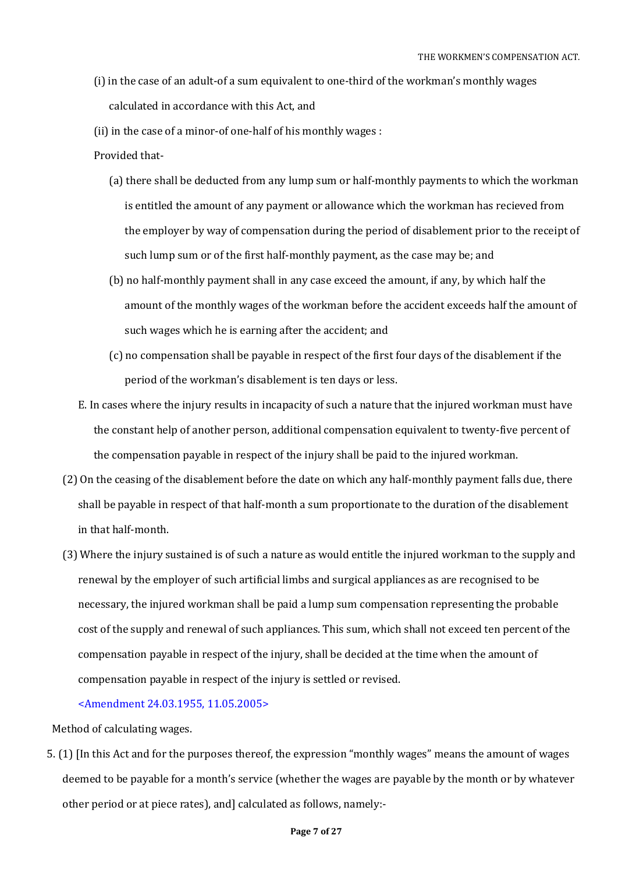- (i) in the case of an adult-of a sum equivalent to one-third of the workman's monthly wages calculated in accordance with this Act, and
- (ii) in the case of a minor-of one-half of his monthly wages :
- Provided that-
	- (a) there shall be deducted from any lump sum or half-monthly payments to which the workman is entitled the amount of any payment or allowance which the workman has recieved from the employer by way of compensation during the period of disablement prior to the receipt of such lump sum or of the first half-monthly payment, as the case may be; and
	- (b) no half-monthly payment shall in any case exceed the amount, if any, by which half the amount of the monthly wages of the workman before the accident exceeds half the amount of such wages which he is earning after the accident; and
	- (c) no compensation shall be payable in respect of the first four days of the disablement if the period of the workman's disablement is ten days or less.
- E. In cases where the injury results in incapacity of such a nature that the injured workman must have the constant help of another person, additional compensation equivalent to twenty-five percent of the compensation payable in respect of the injury shall be paid to the injured workman.
- (2) On the ceasing of the disablement before the date on which any half-monthly payment falls due, there shall be payable in respect of that half-month a sum proportionate to the duration of the disablement in that half-month.
- (3) Where the injury sustained is of such a nature as would entitle the injured workman to the supply and renewal by the employer of such artificial limbs and surgical appliances as are recognised to be necessary, the injured workman shall be paid a lump sum compensation representing the probable cost of the supply and renewal of such appliances. This sum, which shall not exceed ten percent of the compensation payable in respect of the injury, shall be decided at the time when the amount of compensation payable in respect of the injury is settled or revised.

#### <Amendment 24.03.1955, 11.05.2005>

Method of calculating wages.

5. (1) [In this Act and for the purposes thereof, the expression "monthly wages" means the amount of wages deemed to be payable for a month's service (whether the wages are payable by the month or by whatever other period or at piece rates), and] calculated as follows, namely:-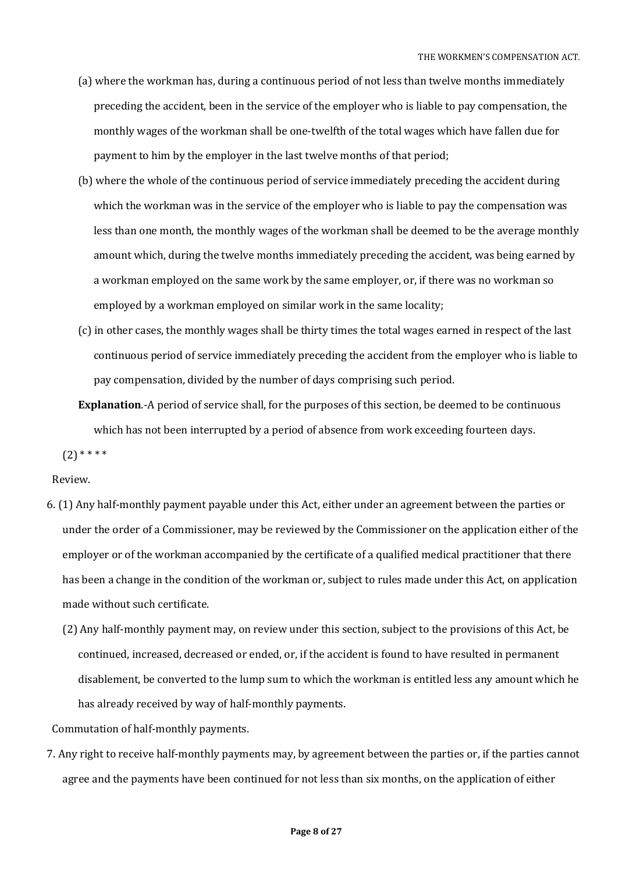- (a) where the workman has, during a continuous period of not less than twelve months immediately preceding the accident, been in the service of the employer who is liable to pay compensation, the monthly wages of the workman shall be one-twelfth of the total wages which have fallen due for payment to him by the employer in the last twelve months of that period;
- (b) where the whole of the continuous period of service immediately preceding the accident during which the workman was in the service of the employer who is liable to pay the compensation was less than one month, the monthly wages of the workman shall be deemed to be the average monthly amount which, during the twelve months immediately preceding the accident, was being earned by a workman employed on the same work by the same employer, or, if there was no workman so employed by a workman employed on similar work in the same locality;
- (c) in other cases, the monthly wages shall be thirty times the total wages earned in respect of the last continuous period of service immediately preceding the accident from the employer who is liable to pay compensation, divided by the number of days comprising such period.
- **Explanation**.-A period of service shall, for the purposes of this section, be deemed to be continuous which has not been interrupted by a period of absence from work exceeding fourteen days.

 $(2)$  \* \* \* \*

#### Review.

- 6. (1) Any half-monthly payment payable under this Act, either under an agreement between the parties or under the order of a Commissioner, may be reviewed by the Commissioner on the application either of the employer or of the workman accompanied by the certificate of a qualified medical practitioner that there has been a change in the condition of the workman or, subject to rules made under this Act, on application made without such certificate.
	- (2) Any half-monthly payment may, on review under this section, subject to the provisions of this Act, be continued, increased, decreased or ended, or, if the accident is found to have resulted in permanent disablement, be converted to the lump sum to which the workman is entitled less any amount which he has already received by way of half-monthly payments.

Commutation of half-monthly payments.

7. Any right to receive half-monthly payments may, by agreement between the parties or, if the parties cannot agree and the payments have been continued for not less than six months, on the application of either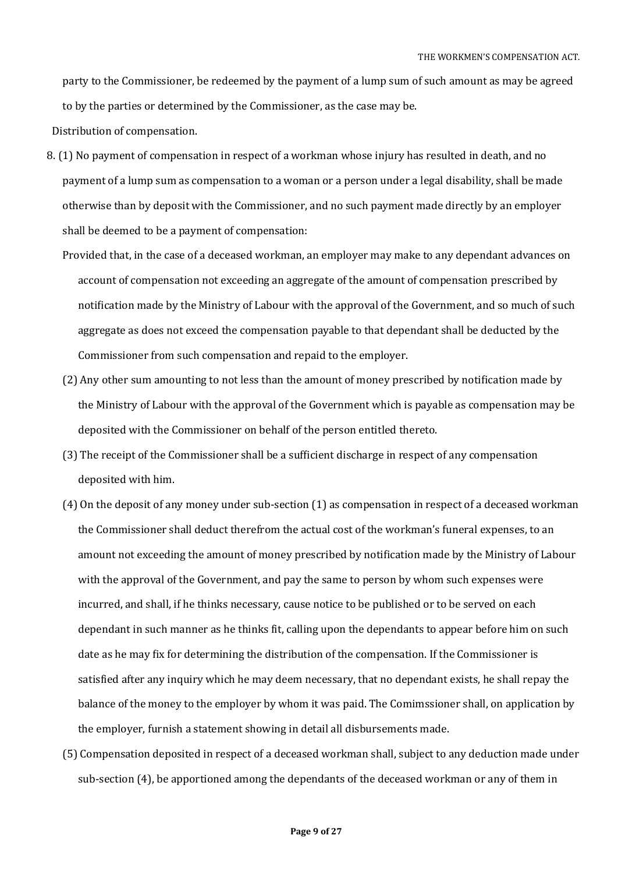party to the Commissioner, be redeemed by the payment of a lump sum of such amount as may be agreed to by the parties or determined by the Commissioner, as the case may be.

Distribution of compensation.

- 8. (1) No payment of compensation in respect of a workman whose injury has resulted in death, and no payment of a lump sum as compensation to a woman or a person under a legal disability, shall be made otherwise than by deposit with the Commissioner, and no such payment made directly by an employer shall be deemed to be a payment of compensation:
	- Provided that, in the case of a deceased workman, an employer may make to any dependant advances on account of compensation not exceeding an aggregate of the amount of compensation prescribed by notification made by the Ministry of Labour with the approval of the Government, and so much of such aggregate as does not exceed the compensation payable to that dependant shall be deducted by the Commissioner from such compensation and repaid to the employer.
	- (2) Any other sum amounting to not less than the amount of money prescribed by notification made by the Ministry of Labour with the approval of the Government which is payable as compensation may be deposited with the Commissioner on behalf of the person entitled thereto.
	- (3) The receipt of the Commissioner shall be a sufficient discharge in respect of any compensation deposited with him.
	- (4) On the deposit of any money under sub-section (1) as compensation in respect of a deceased workman the Commissioner shall deduct therefrom the actual cost of the workman's funeral expenses, to an amount not exceeding the amount of money prescribed by notification made by the Ministry of Labour with the approval of the Government, and pay the same to person by whom such expenses were incurred, and shall, if he thinks necessary, cause notice to be published or to be served on each dependant in such manner as he thinks fit, calling upon the dependants to appear before him on such date as he may fix for determining the distribution of the compensation. If the Commissioner is satisfied after any inquiry which he may deem necessary, that no dependant exists, he shall repay the balance of the money to the employer by whom it was paid. The Comimssioner shall, on application by the employer, furnish a statement showing in detail all disbursements made.
	- (5) Compensation deposited in respect of a deceased workman shall, subject to any deduction made under sub-section (4), be apportioned among the dependants of the deceased workman or any of them in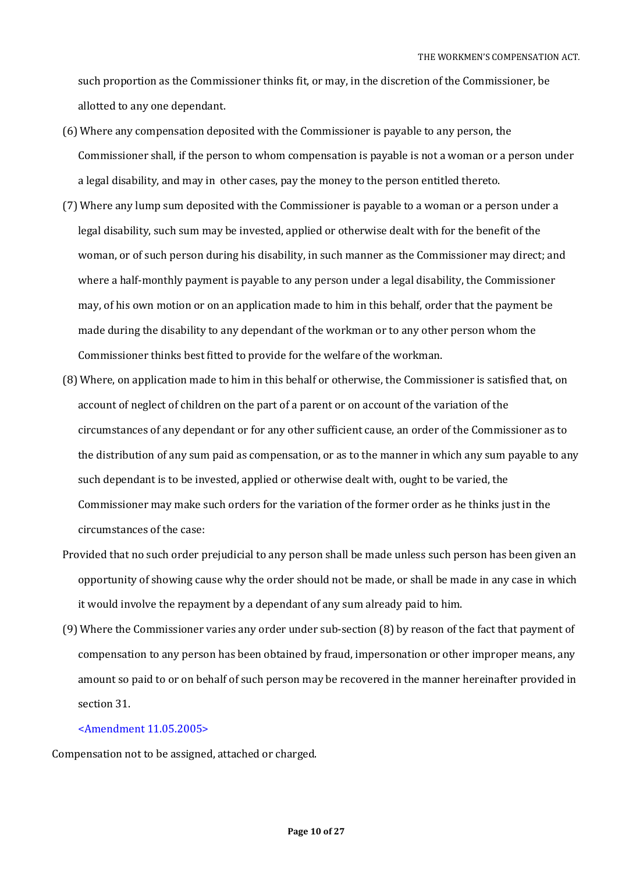such proportion as the Commissioner thinks fit, or may, in the discretion of the Commissioner, be allotted to any one dependant.

- (6) Where any compensation deposited with the Commissioner is payable to any person, the Commissioner shall, if the person to whom compensation is payable is not a woman or a person under a legal disability, and may in other cases, pay the money to the person entitled thereto.
- (7) Where any lump sum deposited with the Commissioner is payable to a woman or a person under a legal disability, such sum may be invested, applied or otherwise dealt with for the benefit of the woman, or of such person during his disability, in such manner as the Commissioner may direct; and where a half-monthly payment is payable to any person under a legal disability, the Commissioner may, of his own motion or on an application made to him in this behalf, order that the payment be made during the disability to any dependant of the workman or to any other person whom the Commissioner thinks best fitted to provide for the welfare of the workman.
- (8) Where, on application made to him in this behalf or otherwise, the Commissioner is satisfied that, on account of neglect of children on the part of a parent or on account of the variation of the circumstances of any dependant or for any other sufficient cause, an order of the Commissioner as to the distribution of any sum paid as compensation, or as to the manner in which any sum payable to any such dependant is to be invested, applied or otherwise dealt with, ought to be varied, the Commissioner may make such orders for the variation of the former order as he thinks just in the circumstances of the case:
- Provided that no such order prejudicial to any person shall be made unless such person has been given an opportunity of showing cause why the order should not be made, or shall be made in any case in which it would involve the repayment by a dependant of any sum already paid to him.
- (9) Where the Commissioner varies any order under sub-section (8) by reason of the fact that payment of compensation to any person has been obtained by fraud, impersonation or other improper means, any amount so paid to or on behalf of such person may be recovered in the manner hereinafter provided in section 31.

### <Amendment 11.05.2005>

Compensation not to be assigned, attached or charged.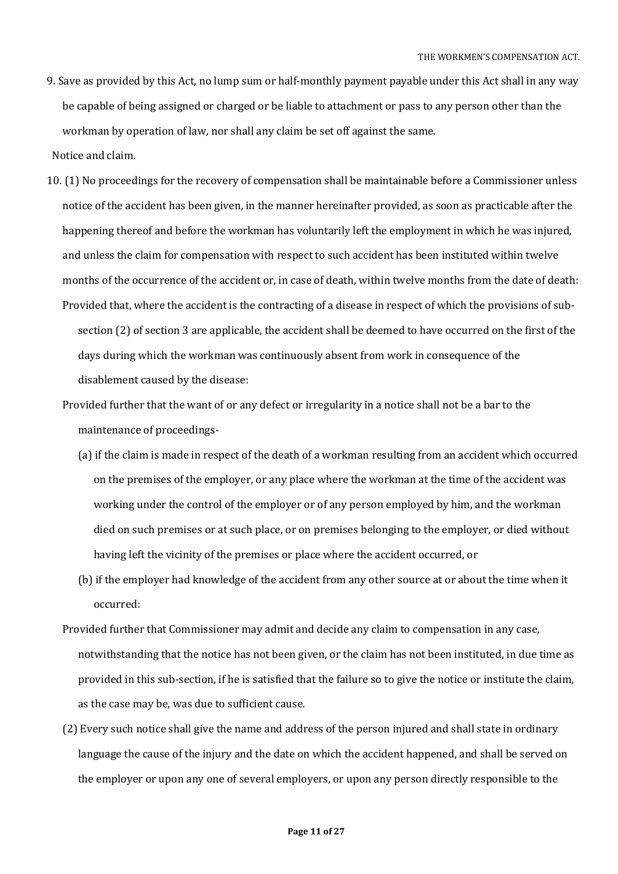9. Save as provided by this Act, no lump sum or half-monthly payment payable under this Act shall in any way be capable of being assigned or charged or be liable to attachment or pass to any person other than the workman by operation of law, nor shall any claim be set off against the same.

Notice and claim.

- 10. (1) No proceedings for the recovery of compensation shall be maintainable before a Commissioner unless notice of the accident has been given, in the manner hereinafter provided, as soon as practicable after the happening thereof and before the workman has voluntarily left the employment in which he was injured, and unless the claim for compensation with respect to such accident has been instituted within twelve months of the occurrence of the accident or, in case of death, within twelve months from the date of death: Provided that, where the accident is the contracting of a disease in respect of which the provisions of subsection (2) of section 3 are applicable, the accident shall be deemed to have occurred on the first of the days during which the workman was continuously absent from work in consequence of the disablement caused by the disease:
	- Provided further that the want of or any defect or irregularity in a notice shall not be a bar to the maintenance of proceedings-
		- (a) if the claim is made in respect of the death of a workman resulting from an accident which occurred on the premises of the employer, or any place where the workman at the time of the accident was working under the control of the employer or of any person employed by him, and the workman died on such premises or at such place, or on premises belonging to the employer, or died without having left the vicinity of the premises or place where the accident occurred, or
		- (b) if the employer had knowledge of the accident from any other source at or about the time when it occurred:
	- Provided further that Commissioner may admit and decide any claim to compensation in any case, notwithstanding that the notice has not been given, or the claim has not been instituted, in due time as provided in this sub-section, if he is satisfied that the failure so to give the notice or institute the claim, as the case may be, was due to sufficient cause.
	- (2) Every such notice shall give the name and address of the person injured and shall state in ordinary language the cause of the injury and the date on which the accident happened, and shall be served on the employer or upon any one of several employers, or upon any person directly responsible to the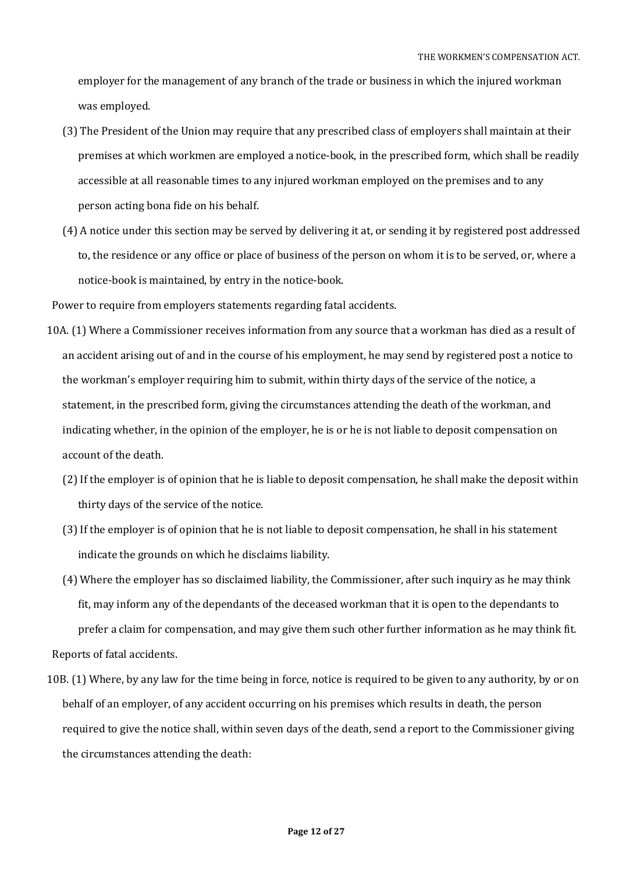employer for the management of any branch of the trade or business in which the injured workman was employed.

- (3) The President of the Union may require that any prescribed class of employers shall maintain at their premises at which workmen are employed a notice-book, in the prescribed form, which shall be readily accessible at all reasonable times to any injured workman employed on the premises and to any person acting bona fide on his behalf.
- (4) A notice under this section may be served by delivering it at, or sending it by registered post addressed to, the residence or any office or place of business of the person on whom it is to be served, or, where a notice-book is maintained, by entry in the notice-book.

Power to require from employers statements regarding fatal accidents.

- 10A. (1) Where a Commissioner receives information from any source that a workman has died as a result of an accident arising out of and in the course of his employment, he may send by registered post a notice to the workman's employer requiring him to submit, within thirty days of the service of the notice, a statement, in the prescribed form, giving the circumstances attending the death of the workman, and indicating whether, in the opinion of the employer, he is or he is not liable to deposit compensation on account of the death.
	- (2) If the employer is of opinion that he is liable to deposit compensation, he shall make the deposit within thirty days of the service of the notice.
	- (3) If the employer is of opinion that he is not liable to deposit compensation, he shall in his statement indicate the grounds on which he disclaims liability.
- (4) Where the employer has so disclaimed liability, the Commissioner, after such inquiry as he may think fit, may inform any of the dependants of the deceased workman that it is open to the dependants to prefer a claim for compensation, and may give them such other further information as he may think fit. Reports of fatal accidents.

10B. (1) Where, by any law for the time being in force, notice is required to be given to any authority, by or on behalf of an employer, of any accident occurring on his premises which results in death, the person required to give the notice shall, within seven days of the death, send a report to the Commissioner giving the circumstances attending the death: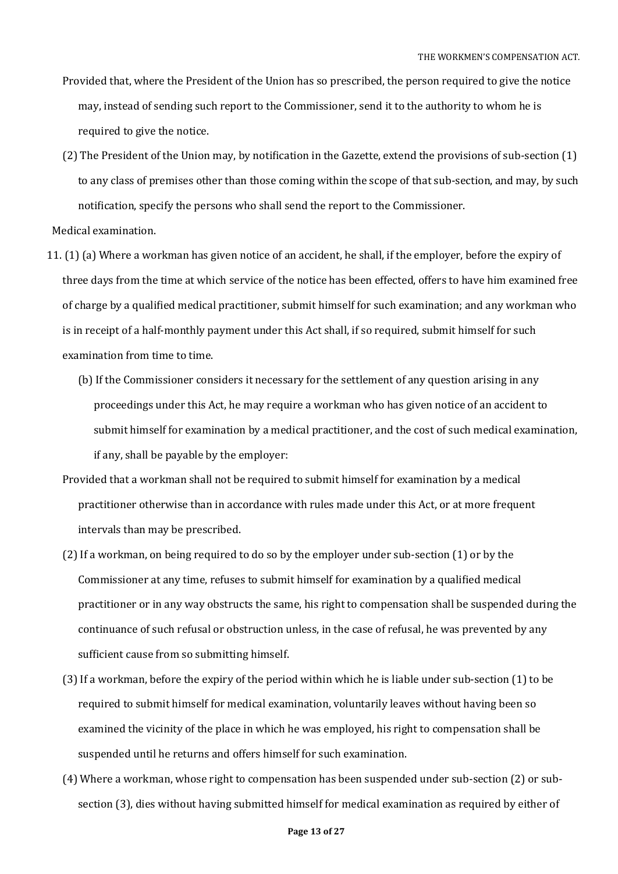- Provided that, where the President of the Union has so prescribed, the person required to give the notice may, instead of sending such report to the Commissioner, send it to the authority to whom he is required to give the notice.
- (2) The President of the Union may, by notification in the Gazette, extend the provisions of sub-section (1) to any class of premises other than those coming within the scope of that sub-section, and may, by such notification, specify the persons who shall send the report to the Commissioner.

Medical examination.

- 11. (1) (a) Where a workman has given notice of an accident, he shall, if the employer, before the expiry of three days from the time at which service of the notice has been effected, offers to have him examined free of charge by a qualified medical practitioner, submit himself for such examination; and any workman who is in receipt of a half-monthly payment under this Act shall, if so required, submit himself for such examination from time to time.
	- (b) If the Commissioner considers it necessary for the settlement of any question arising in any proceedings under this Act, he may require a workman who has given notice of an accident to submit himself for examination by a medical practitioner, and the cost of such medical examination, if any, shall be payable by the employer:
	- Provided that a workman shall not be required to submit himself for examination by a medical practitioner otherwise than in accordance with rules made under this Act, or at more frequent intervals than may be prescribed.
	- (2) If a workman, on being required to do so by the employer under sub-section (1) or by the Commissioner at any time, refuses to submit himself for examination by a qualified medical practitioner or in any way obstructs the same, his right to compensation shall be suspended during the continuance of such refusal or obstruction unless, in the case of refusal, he was prevented by any sufficient cause from so submitting himself.
	- (3) If a workman, before the expiry of the period within which he is liable under sub-section (1) to be required to submit himself for medical examination, voluntarily leaves without having been so examined the vicinity of the place in which he was employed, his right to compensation shall be suspended until he returns and offers himself for such examination.
	- (4) Where a workman, whose right to compensation has been suspended under sub-section (2) or subsection (3), dies without having submitted himself for medical examination as required by either of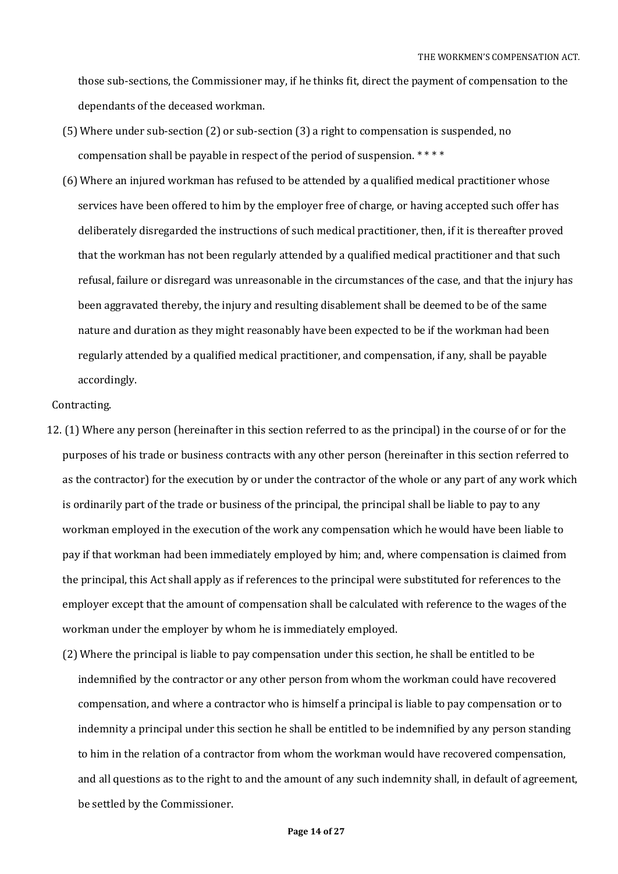those sub-sections, the Commissioner may, if he thinks fit, direct the payment of compensation to the dependants of the deceased workman.

- (5) Where under sub-section (2) or sub-section (3) a right to compensation is suspended, no compensation shall be payable in respect of the period of suspension. \* \* \* \*
- (6) Where an injured workman has refused to be attended by a qualified medical practitioner whose services have been offered to him by the employer free of charge, or having accepted such offer has deliberately disregarded the instructions of such medical practitioner, then, if it is thereafter proved that the workman has not been regularly attended by a qualified medical practitioner and that such refusal, failure or disregard was unreasonable in the circumstances of the case, and that the injury has been aggravated thereby, the injury and resulting disablement shall be deemed to be of the same nature and duration as they might reasonably have been expected to be if the workman had been regularly attended by a qualified medical practitioner, and compensation, if any, shall be payable accordingly.

### Contracting.

- 12. (1) Where any person (hereinafter in this section referred to as the principal) in the course of or for the purposes of his trade or business contracts with any other person (hereinafter in this section referred to as the contractor) for the execution by or under the contractor of the whole or any part of any work which is ordinarily part of the trade or business of the principal, the principal shall be liable to pay to any workman employed in the execution of the work any compensation which he would have been liable to pay if that workman had been immediately employed by him; and, where compensation is claimed from the principal, this Act shall apply as if references to the principal were substituted for references to the employer except that the amount of compensation shall be calculated with reference to the wages of the workman under the employer by whom he is immediately employed.
	- (2) Where the principal is liable to pay compensation under this section, he shall be entitled to be indemnified by the contractor or any other person from whom the workman could have recovered compensation, and where a contractor who is himself a principal is liable to pay compensation or to indemnity a principal under this section he shall be entitled to be indemnified by any person standing to him in the relation of a contractor from whom the workman would have recovered compensation, and all questions as to the right to and the amount of any such indemnity shall, in default of agreement, be settled by the Commissioner.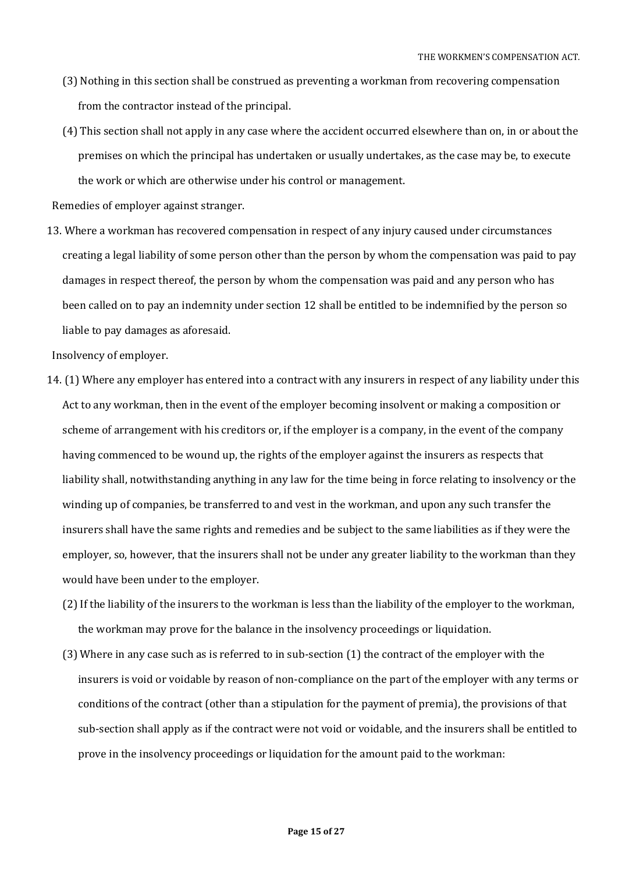- (3) Nothing in this section shall be construed as preventing a workman from recovering compensation from the contractor instead of the principal.
- (4) This section shall not apply in any case where the accident occurred elsewhere than on, in or about the premises on which the principal has undertaken or usually undertakes, as the case may be, to execute the work or which are otherwise under his control or management.

Remedies of employer against stranger.

13. Where a workman has recovered compensation in respect of any injury caused under circumstances creating a legal liability of some person other than the person by whom the compensation was paid to pay damages in respect thereof, the person by whom the compensation was paid and any person who has been called on to pay an indemnity under section 12 shall be entitled to be indemnified by the person so liable to pay damages as aforesaid.

Insolvency of employer.

- 14. (1) Where any employer has entered into a contract with any insurers in respect of any liability under this Act to any workman, then in the event of the employer becoming insolvent or making a composition or scheme of arrangement with his creditors or, if the employer is a company, in the event of the company having commenced to be wound up, the rights of the employer against the insurers as respects that liability shall, notwithstanding anything in any law for the time being in force relating to insolvency or the winding up of companies, be transferred to and vest in the workman, and upon any such transfer the insurers shall have the same rights and remedies and be subject to the same liabilities as if they were the employer, so, however, that the insurers shall not be under any greater liability to the workman than they would have been under to the employer.
	- (2) If the liability of the insurers to the workman is less than the liability of the employer to the workman, the workman may prove for the balance in the insolvency proceedings or liquidation.
	- (3) Where in any case such as is referred to in sub-section (1) the contract of the employer with the insurers is void or voidable by reason of non-compliance on the part of the employer with any terms or conditions of the contract (other than a stipulation for the payment of premia), the provisions of that sub-section shall apply as if the contract were not void or voidable, and the insurers shall be entitled to prove in the insolvency proceedings or liquidation for the amount paid to the workman: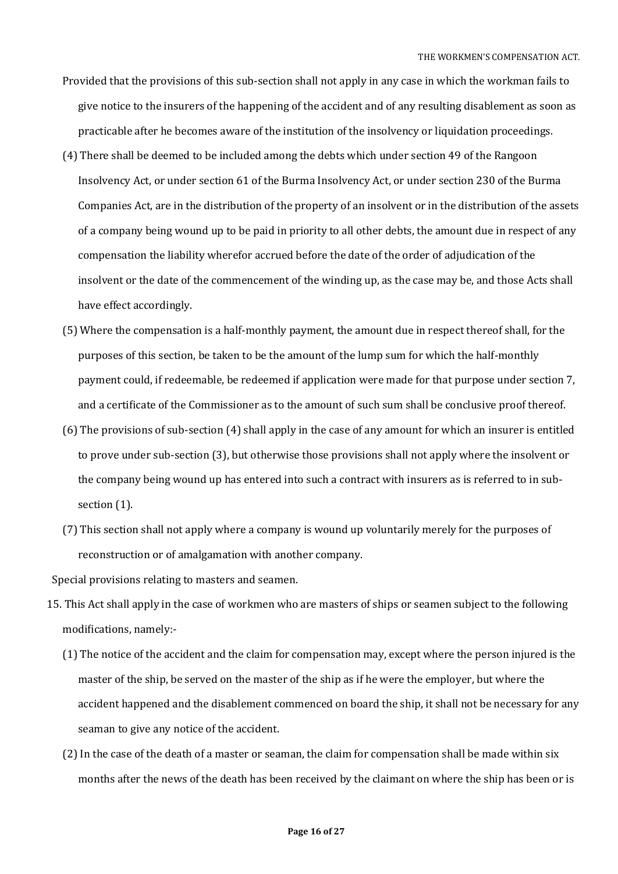- Provided that the provisions of this sub-section shall not apply in any case in which the workman fails to give notice to the insurers of the happening of the accident and of any resulting disablement as soon as practicable after he becomes aware of the institution of the insolvency or liquidation proceedings.
- (4) There shall be deemed to be included among the debts which under section 49 of the Rangoon Insolvency Act, or under section 61 of the Burma Insolvency Act, or under section 230 of the Burma Companies Act, are in the distribution of the property of an insolvent or in the distribution of the assets of a company being wound up to be paid in priority to all other debts, the amount due in respect of any compensation the liability wherefor accrued before the date of the order of adjudication of the insolvent or the date of the commencement of the winding up, as the case may be, and those Acts shall have effect accordingly.
- (5) Where the compensation is a half-monthly payment, the amount due in respect thereof shall, for the purposes of this section, be taken to be the amount of the lump sum for which the half-monthly payment could, if redeemable, be redeemed if application were made for that purpose under section 7, and a certificate of the Commissioner as to the amount of such sum shall be conclusive proof thereof.
- (6) The provisions of sub-section (4) shall apply in the case of any amount for which an insurer is entitled to prove under sub-section (3), but otherwise those provisions shall not apply where the insolvent or the company being wound up has entered into such a contract with insurers as is referred to in subsection  $(1)$ .
- (7) This section shall not apply where a company is wound up voluntarily merely for the purposes of reconstruction or of amalgamation with another company.

Special provisions relating to masters and seamen.

- 15. This Act shall apply in the case of workmen who are masters of ships or seamen subject to the following modifications, namely:-
	- (1) The notice of the accident and the claim for compensation may, except where the person injured is the master of the ship, be served on the master of the ship as if he were the employer, but where the accident happened and the disablement commenced on board the ship, it shall not be necessary for any seaman to give any notice of the accident.
	- (2) In the case of the death of a master or seaman, the claim for compensation shall be made within six months after the news of the death has been received by the claimant on where the ship has been or is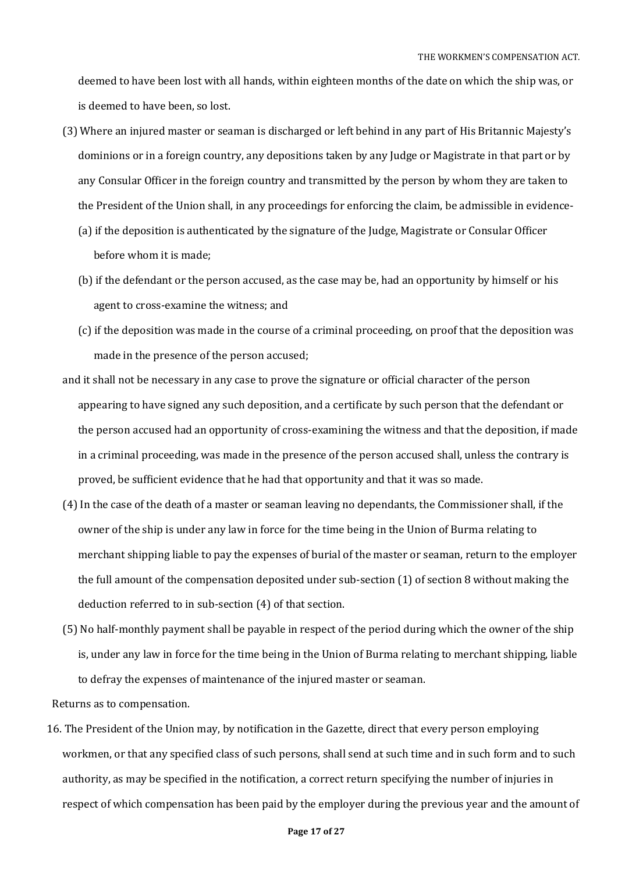deemed to have been lost with all hands, within eighteen months of the date on which the ship was, or is deemed to have been, so lost.

- (3) Where an injured master or seaman is discharged or left behind in any part of His Britannic Majesty's dominions or in a foreign country, any depositions taken by any Judge or Magistrate in that part or by any Consular Officer in the foreign country and transmitted by the person by whom they are taken to the President of the Union shall, in any proceedings for enforcing the claim, be admissible in evidence-
	- (a) if the deposition is authenticated by the signature of the Judge, Magistrate or Consular Officer before whom it is made;
	- (b) if the defendant or the person accused, as the case may be, had an opportunity by himself or his agent to cross-examine the witness; and
	- (c) if the deposition was made in the course of a criminal proceeding, on proof that the deposition was made in the presence of the person accused;
- and it shall not be necessary in any case to prove the signature or official character of the person appearing to have signed any such deposition, and a certificate by such person that the defendant or the person accused had an opportunity of cross-examining the witness and that the deposition, if made in a criminal proceeding, was made in the presence of the person accused shall, unless the contrary is proved, be sufficient evidence that he had that opportunity and that it was so made.
- (4) In the case of the death of a master or seaman leaving no dependants, the Commissioner shall, if the owner of the ship is under any law in force for the time being in the Union of Burma relating to merchant shipping liable to pay the expenses of burial of the master or seaman, return to the employer the full amount of the compensation deposited under sub-section (1) of section 8 without making the deduction referred to in sub-section (4) of that section.
- (5) No half-monthly payment shall be payable in respect of the period during which the owner of the ship is, under any law in force for the time being in the Union of Burma relating to merchant shipping, liable to defray the expenses of maintenance of the injured master or seaman.

Returns as to compensation.

16. The President of the Union may, by notification in the Gazette, direct that every person employing workmen, or that any specified class of such persons, shall send at such time and in such form and to such authority, as may be specified in the notification, a correct return specifying the number of injuries in respect of which compensation has been paid by the employer during the previous year and the amount of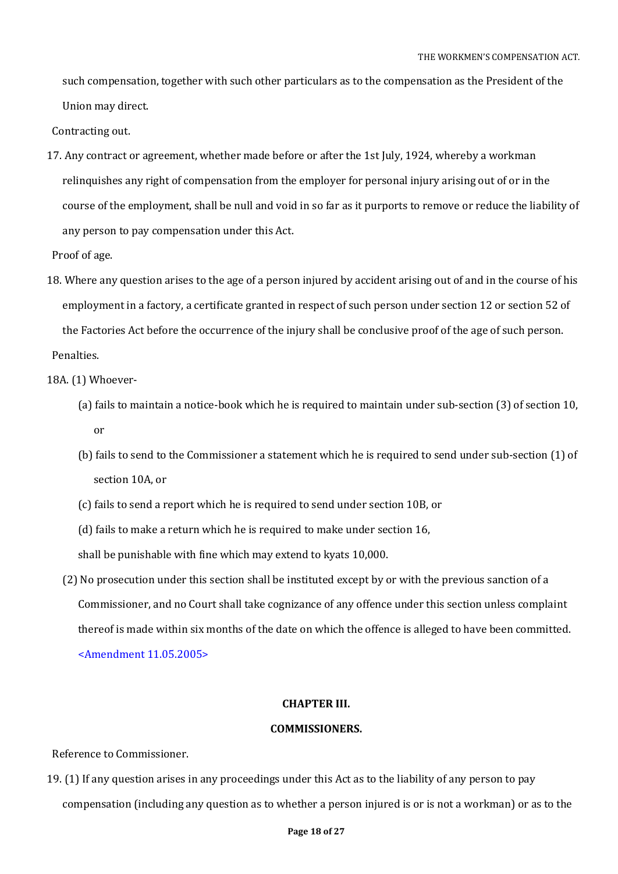such compensation, together with such other particulars as to the compensation as the President of the Union may direct.

Contracting out.

17. Any contract or agreement, whether made before or after the 1st July, 1924, whereby a workman relinquishes any right of compensation from the employer for personal injury arising out of or in the course of the employment, shall be null and void in so far as it purports to remove or reduce the liability of any person to pay compensation under this Act.

Proof of age.

- 18. Where any question arises to the age of a person injured by accident arising out of and in the course of his employment in a factory, a certificate granted in respect of such person under section 12 or section 52 of the Factories Act before the occurrence of the injury shall be conclusive proof of the age of such person. Penalties.
- 18A. (1) Whoever-
	- (a) fails to maintain a notice-book which he is required to maintain under sub-section (3) of section 10, or
	- (b) fails to send to the Commissioner a statement which he is required to send under sub-section (1) of section 10A, or
	- (c) fails to send a report which he is required to send under section 10B, or
	- (d) fails to make a return which he is required to make under section 16,

shall be punishable with fine which may extend to kyats 10,000.

(2) No prosecution under this section shall be instituted except by or with the previous sanction of a Commissioner, and no Court shall take cognizance of any offence under this section unless complaint thereof is made within six months of the date on which the offence is alleged to have been committed. <Amendment 11.05.2005>

#### **CHAPTER III.**

### **COMMISSIONERS.**

Reference to Commissioner.

19. (1) If any question arises in any proceedings under this Act as to the liability of any person to pay compensation (including any question as to whether a person injured is or is not a workman) or as to the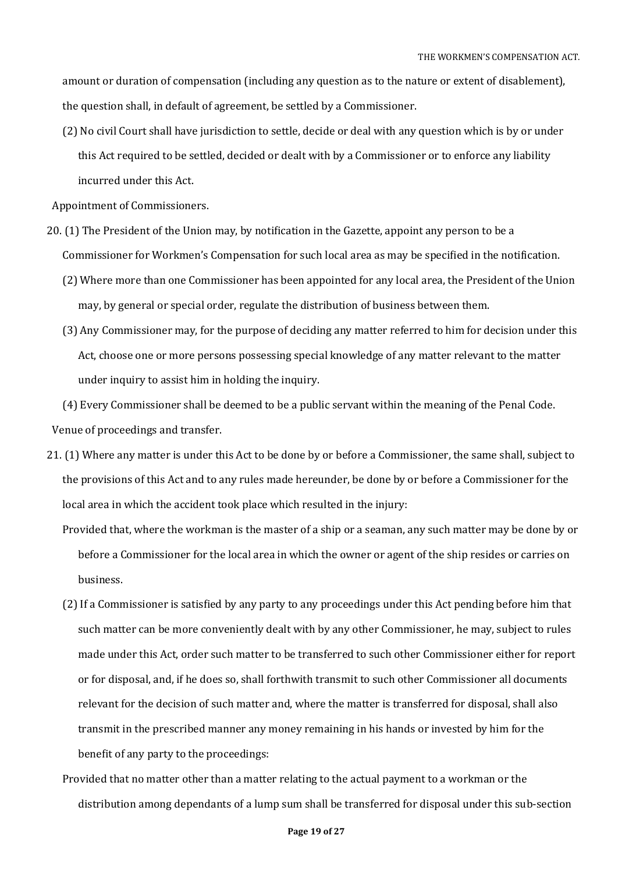amount or duration of compensation (including any question as to the nature or extent of disablement), the question shall, in default of agreement, be settled by a Commissioner.

(2) No civil Court shall have jurisdiction to settle, decide or deal with any question which is by or under this Act required to be settled, decided or dealt with by a Commissioner or to enforce any liability incurred under this Act.

Appointment of Commissioners.

- 20. (1) The President of the Union may, by notification in the Gazette, appoint any person to be a Commissioner for Workmen's Compensation for such local area as may be specified in the notification.
	- (2) Where more than one Commissioner has been appointed for any local area, the President of the Union may, by general or special order, regulate the distribution of business between them.
	- (3) Any Commissioner may, for the purpose of deciding any matter referred to him for decision under this Act, choose one or more persons possessing special knowledge of any matter relevant to the matter under inquiry to assist him in holding the inquiry.

(4) Every Commissioner shall be deemed to be a public servant within the meaning of the Penal Code. Venue of proceedings and transfer.

- 21. (1) Where any matter is under this Act to be done by or before a Commissioner, the same shall, subject to the provisions of this Act and to any rules made hereunder, be done by or before a Commissioner for the local area in which the accident took place which resulted in the injury:
	- Provided that, where the workman is the master of a ship or a seaman, any such matter may be done by or before a Commissioner for the local area in which the owner or agent of the ship resides or carries on business.
	- (2) If a Commissioner is satisfied by any party to any proceedings under this Act pending before him that such matter can be more conveniently dealt with by any other Commissioner, he may, subject to rules made under this Act, order such matter to be transferred to such other Commissioner either for report or for disposal, and, if he does so, shall forthwith transmit to such other Commissioner all documents relevant for the decision of such matter and, where the matter is transferred for disposal, shall also transmit in the prescribed manner any money remaining in his hands or invested by him for the benefit of any party to the proceedings:
	- Provided that no matter other than a matter relating to the actual payment to a workman or the distribution among dependants of a lump sum shall be transferred for disposal under this sub-section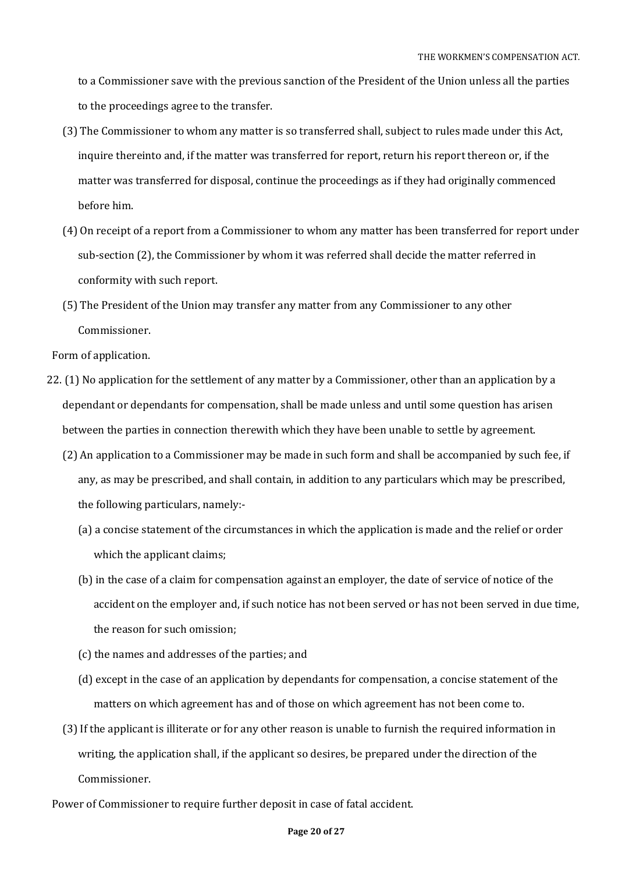to a Commissioner save with the previous sanction of the President of the Union unless all the parties to the proceedings agree to the transfer.

- (3) The Commissioner to whom any matter is so transferred shall, subject to rules made under this Act, inquire thereinto and, if the matter was transferred for report, return his report thereon or, if the matter was transferred for disposal, continue the proceedings as if they had originally commenced before him.
- (4) On receipt of a report from a Commissioner to whom any matter has been transferred for report under sub-section (2), the Commissioner by whom it was referred shall decide the matter referred in conformity with such report.
- (5) The President of the Union may transfer any matter from any Commissioner to any other Commissioner.

Form of application.

- 22. (1) No application for the settlement of any matter by a Commissioner, other than an application by a dependant or dependants for compensation, shall be made unless and until some question has arisen between the parties in connection therewith which they have been unable to settle by agreement.
	- (2) An application to a Commissioner may be made in such form and shall be accompanied by such fee, if any, as may be prescribed, and shall contain, in addition to any particulars which may be prescribed, the following particulars, namely:-
		- (a) a concise statement of the circumstances in which the application is made and the relief or order which the applicant claims;
		- (b) in the case of a claim for compensation against an employer, the date of service of notice of the accident on the employer and, if such notice has not been served or has not been served in due time, the reason for such omission;
		- (c) the names and addresses of the parties; and
		- (d) except in the case of an application by dependants for compensation, a concise statement of the matters on which agreement has and of those on which agreement has not been come to.
	- (3) If the applicant is illiterate or for any other reason is unable to furnish the required information in writing, the application shall, if the applicant so desires, be prepared under the direction of the Commissioner.
- Power of Commissioner to require further deposit in case of fatal accident.

#### **Page 20 of 27**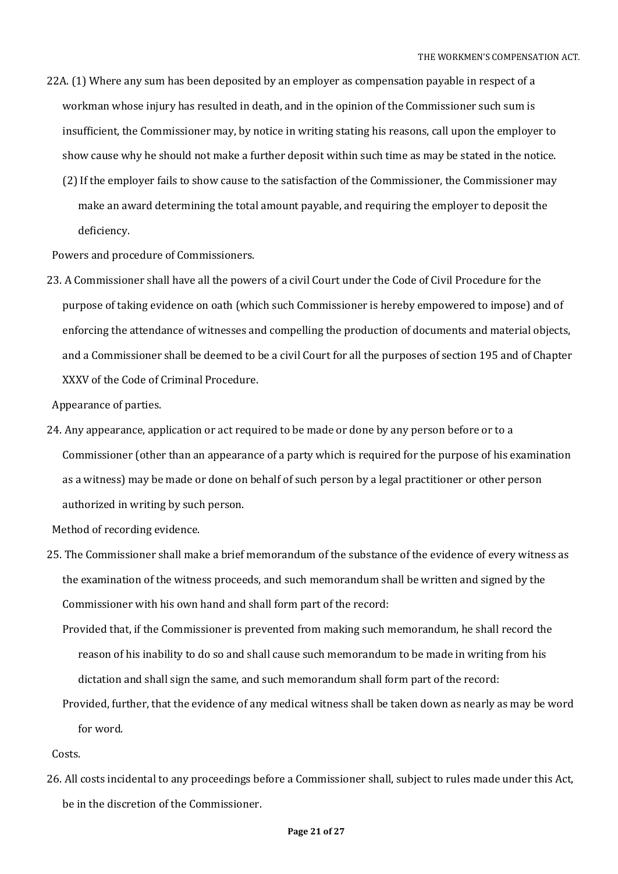- 22A. (1) Where any sum has been deposited by an employer as compensation payable in respect of a workman whose injury has resulted in death, and in the opinion of the Commissioner such sum is insufficient, the Commissioner may, by notice in writing stating his reasons, call upon the employer to show cause why he should not make a further deposit within such time as may be stated in the notice.
	- (2) If the employer fails to show cause to the satisfaction of the Commissioner, the Commissioner may make an award determining the total amount payable, and requiring the employer to deposit the deficiency.

Powers and procedure of Commissioners.

23. A Commissioner shall have all the powers of a civil Court under the Code of Civil Procedure for the purpose of taking evidence on oath (which such Commissioner is hereby empowered to impose) and of enforcing the attendance of witnesses and compelling the production of documents and material objects, and a Commissioner shall be deemed to be a civil Court for all the purposes of section 195 and of Chapter XXXV of the Code of Criminal Procedure.

Appearance of parties.

24. Any appearance, application or act required to be made or done by any person before or to a Commissioner (other than an appearance of a party which is required for the purpose of his examination as a witness) may be made or done on behalf of such person by a legal practitioner or other person authorized in writing by such person.

Method of recording evidence.

- 25. The Commissioner shall make a brief memorandum of the substance of the evidence of every witness as the examination of the witness proceeds, and such memorandum shall be written and signed by the Commissioner with his own hand and shall form part of the record:
	- Provided that, if the Commissioner is prevented from making such memorandum, he shall record the reason of his inability to do so and shall cause such memorandum to be made in writing from his dictation and shall sign the same, and such memorandum shall form part of the record:
	- Provided, further, that the evidence of any medical witness shall be taken down as nearly as may be word for word.

Costs.

26. All costs incidental to any proceedings before a Commissioner shall, subject to rules made under this Act, be in the discretion of the Commissioner.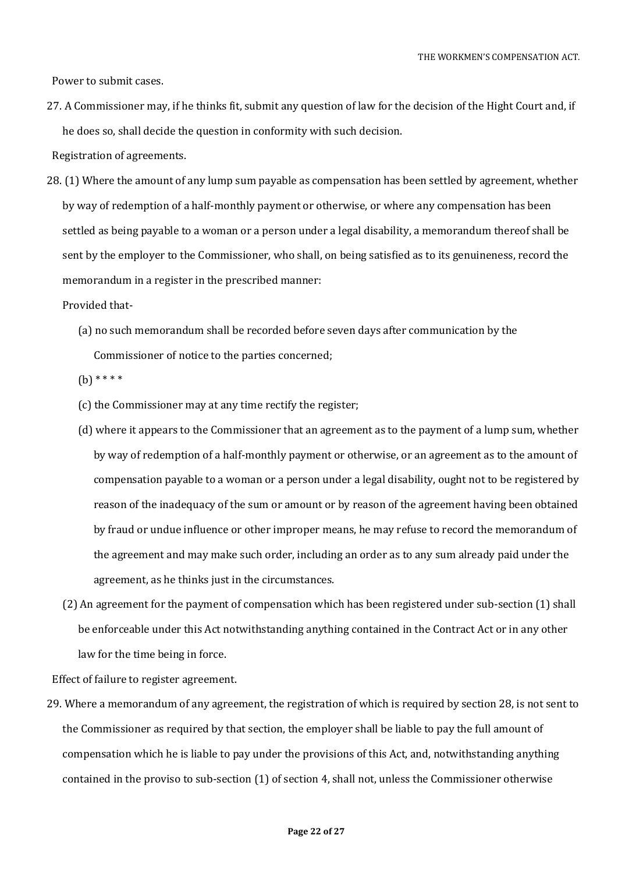Power to submit cases.

27. A Commissioner may, if he thinks fit, submit any question of law for the decision of the Hight Court and, if he does so, shall decide the question in conformity with such decision.

Registration of agreements.

28. (1) Where the amount of any lump sum payable as compensation has been settled by agreement, whether by way of redemption of a half-monthly payment or otherwise, or where any compensation has been settled as being payable to a woman or a person under a legal disability, a memorandum thereof shall be sent by the employer to the Commissioner, who shall, on being satisfied as to its genuineness, record the memorandum in a register in the prescribed manner:

Provided that-

(a) no such memorandum shall be recorded before seven days after communication by the Commissioner of notice to the parties concerned;

 $(b)$  \* \* \* \*

- (c) the Commissioner may at any time rectify the register;
- (d) where it appears to the Commissioner that an agreement as to the payment of a lump sum, whether by way of redemption of a half-monthly payment or otherwise, or an agreement as to the amount of compensation payable to a woman or a person under a legal disability, ought not to be registered by reason of the inadequacy of the sum or amount or by reason of the agreement having been obtained by fraud or undue influence or other improper means, he may refuse to record the memorandum of the agreement and may make such order, including an order as to any sum already paid under the agreement, as he thinks just in the circumstances.
- (2) An agreement for the payment of compensation which has been registered under sub-section (1) shall be enforceable under this Act notwithstanding anything contained in the Contract Act or in any other law for the time being in force.

Effect of failure to register agreement.

29. Where a memorandum of any agreement, the registration of which is required by section 28, is not sent to the Commissioner as required by that section, the employer shall be liable to pay the full amount of compensation which he is liable to pay under the provisions of this Act, and, notwithstanding anything contained in the proviso to sub-section (1) of section 4, shall not, unless the Commissioner otherwise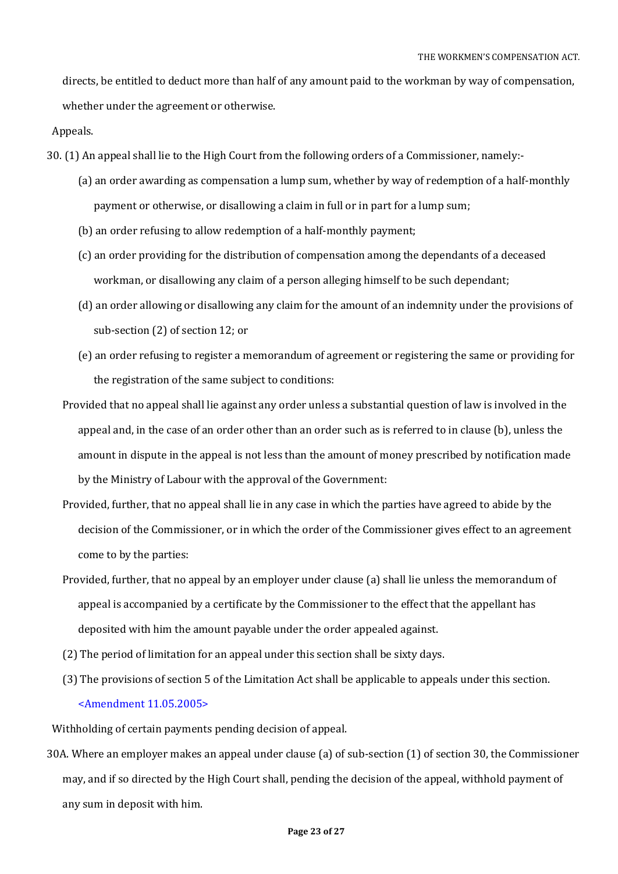directs, be entitled to deduct more than half of any amount paid to the workman by way of compensation, whether under the agreement or otherwise.

Appeals.

- 30. (1) An appeal shall lie to the High Court from the following orders of a Commissioner, namely:-
	- (a) an order awarding as compensation a lump sum, whether by way of redemption of a half-monthly payment or otherwise, or disallowing a claim in full or in part for a lump sum;
	- (b) an order refusing to allow redemption of a half-monthly payment;
	- (c) an order providing for the distribution of compensation among the dependants of a deceased workman, or disallowing any claim of a person alleging himself to be such dependant;
	- (d) an order allowing or disallowing any claim for the amount of an indemnity under the provisions of sub-section (2) of section 12; or
	- (e) an order refusing to register a memorandum of agreement or registering the same or providing for the registration of the same subject to conditions:
	- Provided that no appeal shall lie against any order unless a substantial question of law is involved in the appeal and, in the case of an order other than an order such as is referred to in clause (b), unless the amount in dispute in the appeal is not less than the amount of money prescribed by notification made by the Ministry of Labour with the approval of the Government:
	- Provided, further, that no appeal shall lie in any case in which the parties have agreed to abide by the decision of the Commissioner, or in which the order of the Commissioner gives effect to an agreement come to by the parties:
	- Provided, further, that no appeal by an employer under clause (a) shall lie unless the memorandum of appeal is accompanied by a certificate by the Commissioner to the effect that the appellant has deposited with him the amount payable under the order appealed against.
	- (2) The period of limitation for an appeal under this section shall be sixty days.
	- (3) The provisions of section 5 of the Limitation Act shall be applicable to appeals under this section. <Amendment 11.05.2005>

Withholding of certain payments pending decision of appeal.

30A. Where an employer makes an appeal under clause (a) of sub-section (1) of section 30, the Commissioner may, and if so directed by the High Court shall, pending the decision of the appeal, withhold payment of any sum in deposit with him.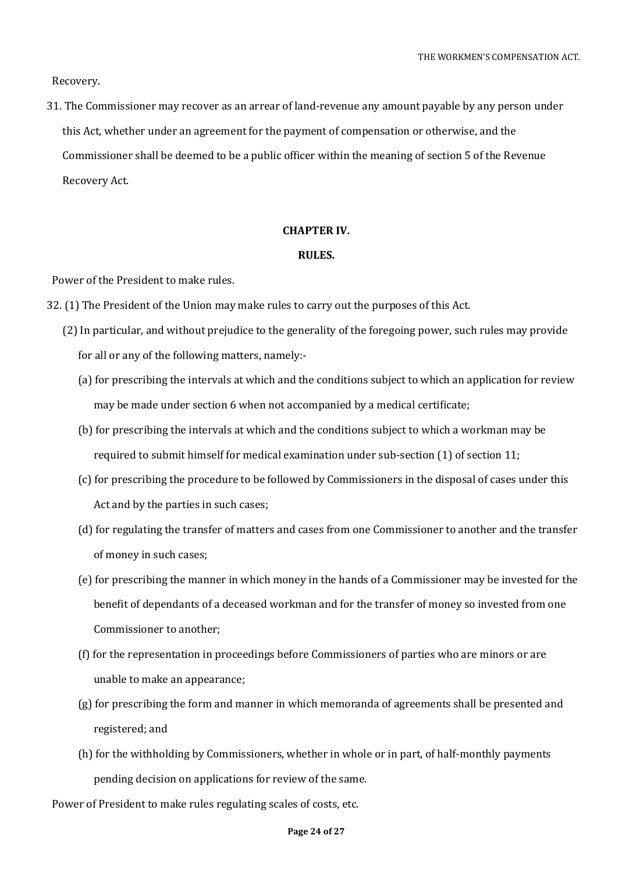Recovery.

31. The Commissioner may recover as an arrear of land-revenue any amount payable by any person under this Act, whether under an agreement for the payment of compensation or otherwise, and the Commissioner shall be deemed to be a public officer within the meaning of section 5 of the Revenue Recovery Act.

### **CHAPTER IV.**

### **RULES.**

Power of the President to make rules.

- 32. (1) The President of the Union may make rules to carry out the purposes of this Act.
	- (2) In particular, and without prejudice to the generality of the foregoing power, such rules may provide for all or any of the following matters, namely:-
		- (a) for prescribing the intervals at which and the conditions subject to which an application for review may be made under section 6 when not accompanied by a medical certificate;
		- (b) for prescribing the intervals at which and the conditions subject to which a workman may be required to submit himself for medical examination under sub-section (1) of section 11;
		- (c) for prescribing the procedure to be followed by Commissioners in the disposal of cases under this Act and by the parties in such cases;
		- (d) for regulating the transfer of matters and cases from one Commissioner to another and the transfer of money in such cases;
		- (e) for prescribing the manner in which money in the hands of a Commissioner may be invested for the benefit of dependants of a deceased workman and for the transfer of money so invested from one Commissioner to another;
		- (f) for the representation in proceedings before Commissioners of parties who are minors or are unable to make an appearance;
		- (g) for prescribing the form and manner in which memoranda of agreements shall be presented and registered; and
		- (h) for the withholding by Commissioners, whether in whole or in part, of half-monthly payments pending decision on applications for review of the same.

Power of President to make rules regulating scales of costs, etc.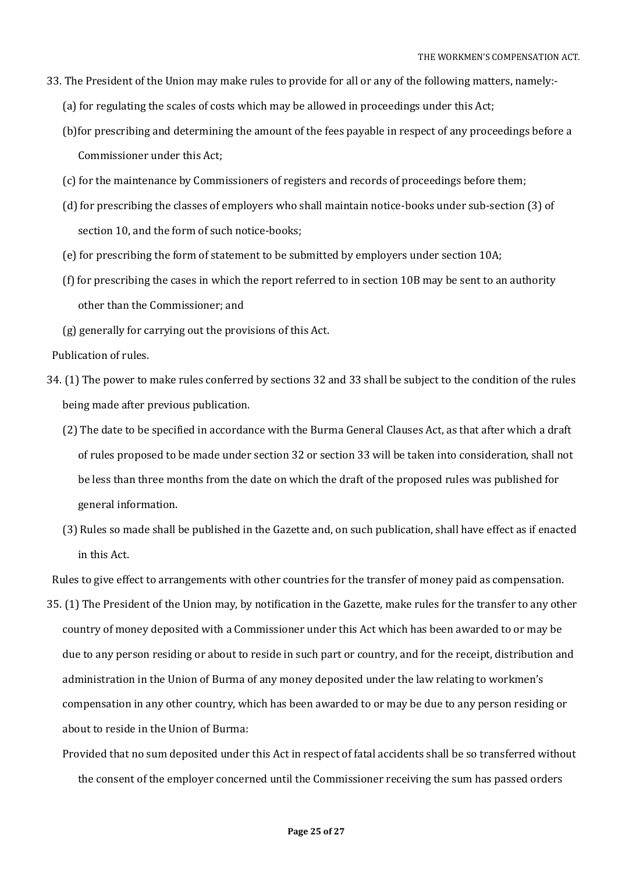- 33. The President of the Union may make rules to provide for all or any of the following matters, namely:-
	- (a) for regulating the scales of costs which may be allowed in proceedings under this Act;
	- (b)for prescribing and determining the amount of the fees payable in respect of any proceedings before a Commissioner under this Act;
	- (c) for the maintenance by Commissioners of registers and records of proceedings before them;
	- (d) for prescribing the classes of employers who shall maintain notice-books under sub-section (3) of section 10, and the form of such notice-books;
	- (e) for prescribing the form of statement to be submitted by employers under section 10A;
	- (f) for prescribing the cases in which the report referred to in section 10B may be sent to an authority other than the Commissioner; and
	- (g) generally for carrying out the provisions of this Act.

Publication of rules.

- 34. (1) The power to make rules conferred by sections 32 and 33 shall be subject to the condition of the rules being made after previous publication.
	- (2) The date to be specified in accordance with the Burma General Clauses Act, as that after which a draft of rules proposed to be made under section 32 or section 33 will be taken into consideration, shall not be less than three months from the date on which the draft of the proposed rules was published for general information.
	- (3) Rules so made shall be published in the Gazette and, on such publication, shall have effect as if enacted in this Act.

Rules to give effect to arrangements with other countries for the transfer of money paid as compensation.

- 35. (1) The President of the Union may, by notification in the Gazette, make rules for the transfer to any other country of money deposited with a Commissioner under this Act which has been awarded to or may be due to any person residing or about to reside in such part or country, and for the receipt, distribution and administration in the Union of Burma of any money deposited under the law relating to workmen's compensation in any other country, which has been awarded to or may be due to any person residing or about to reside in the Union of Burma:
	- Provided that no sum deposited under this Act in respect of fatal accidents shall be so transferred without the consent of the employer concerned until the Commissioner receiving the sum has passed orders